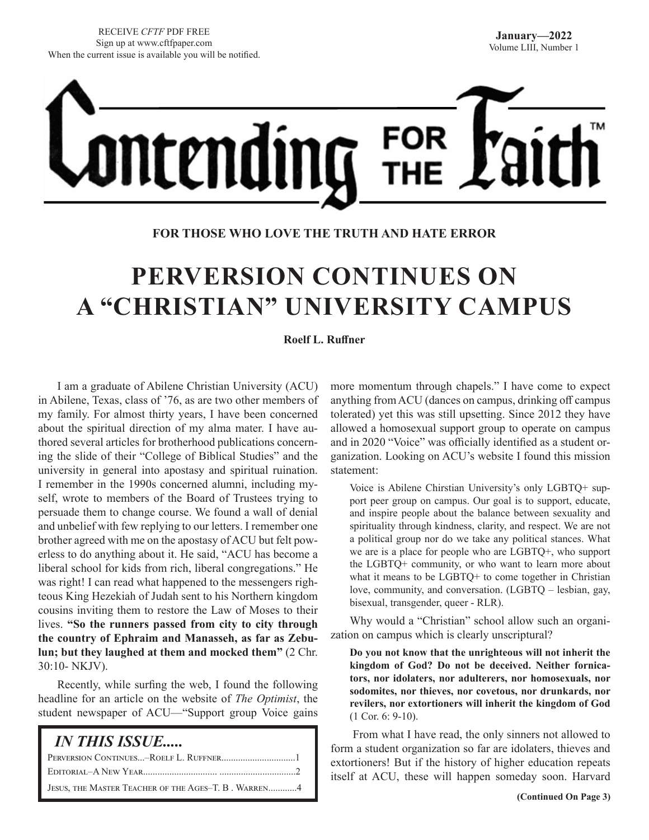

# **FOR THOSE WHO LOVE THE TRUTH AND HATE ERROR**

# **PERVERSION CONTINUES ON A "CHRISTIAN" UNIVERSITY CAMPUS**

#### **Roelf L. Ruffner**

I am a graduate of Abilene Christian University (ACU) in Abilene, Texas, class of '76, as are two other members of my family. For almost thirty years, I have been concerned about the spiritual direction of my alma mater. I have authored several articles for brotherhood publications concerning the slide of their "College of Biblical Studies" and the university in general into apostasy and spiritual ruination. I remember in the 1990s concerned alumni, including myself, wrote to members of the Board of Trustees trying to persuade them to change course. We found a wall of denial and unbelief with few replying to our letters. I remember one brother agreed with me on the apostasy of ACU but felt powerless to do anything about it. He said, "ACU has become a liberal school for kids from rich, liberal congregations." He was right! I can read what happened to the messengers righteous King Hezekiah of Judah sent to his Northern kingdom cousins inviting them to restore the Law of Moses to their lives. **"So the runners passed from city to city through the country of Ephraim and Manasseh, as far as Zebulun; but they laughed at them and mocked them"** (2 Chr. 30:10- NKJV).

Recently, while surfing the web, I found the following headline for an article on the website of *The Optimist*, the student newspaper of ACU—"Support group Voice gains

| <i><b>IN THIS ISSUE</b></i>                         |
|-----------------------------------------------------|
|                                                     |
|                                                     |
| JESUS, THE MASTER TEACHER OF THE AGES-T. B. WARREN4 |

more momentum through chapels." I have come to expect anything from ACU (dances on campus, drinking off campus tolerated) yet this was still upsetting. Since 2012 they have allowed a homosexual support group to operate on campus and in 2020 "Voice" was officially identified as a student organization. Looking on ACU's website I found this mission statement:

Voice is Abilene Chirstian University's only LGBTQ+ support peer group on campus. Our goal is to support, educate, and inspire people about the balance between sexuality and spirituality through kindness, clarity, and respect. We are not a political group nor do we take any political stances. What we are is a place for people who are LGBTQ+, who support the LGBTQ+ community, or who want to learn more about what it means to be LGBTQ+ to come together in Christian love, community, and conversation. (LGBTQ – lesbian, gay, bisexual, transgender, queer - RLR).

Why would a "Christian" school allow such an organization on campus which is clearly unscriptural?

**Do you not know that the unrighteous will not inherit the kingdom of God? Do not be deceived. Neither fornicators, nor idolaters, nor adulterers, nor homosexuals, nor sodomites, nor thieves, nor covetous, nor drunkards, nor revilers, nor extortioners will inherit the kingdom of God**  (1 Cor. 6: 9-10).

 From what I have read, the only sinners not allowed to form a student organization so far are idolaters, thieves and extortioners! But if the history of higher education repeats itself at ACU, these will happen someday soon. Harvard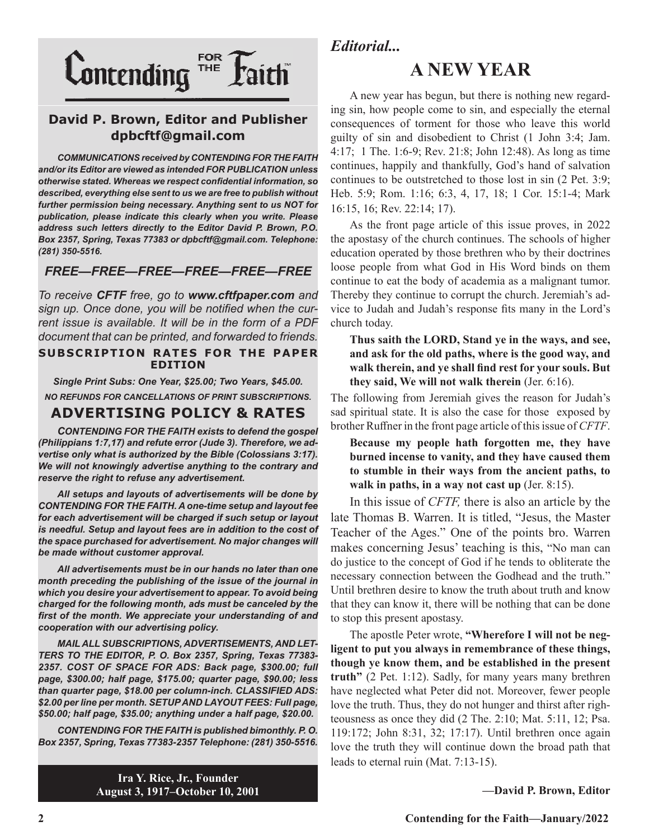

# **David P. Brown, Editor and Publisher dpbcftf@gmail.com**

*COMMUNICATIONS received by CONTENDING FOR THE FAITH and/or its Editor are viewed as intended FOR PUBLICATION unless otherwise stated. Whereas we respect confidential information, so described, everything else sent to us we are free to publish without further permission being necessary. Anything sent to us NOT for publication, please indicate this clearly when you write. Please address such letters directly to the Editor David P. Brown, P.O. Box 2357, Spring, Texas 77383 or dpbcftf@gmail.com. Telephone: (281) 350-5516.*

# *FREE—FREE—FREE—FREE—FREE—FREE*

*To receive CFTF free, go to www.cftfpaper.com and sign up. Once done, you will be notified when the current issue is available. It will be in the form of a PDF document that can be printed, and forwarded to friends.*

#### **SUBSCRIPTION RATES FOR THE PAPER EDITION**

*Single Print Subs: One Year, \$25.00; Two Years, \$45.00. NO REFUNDS FOR CANCELLATIONS OF PRINT SUBSCRIPTIONS.*

# **ADVERTISING POLICY & RATES**

*CONTENDING FOR THE FAITH exists to defend the gospel (Philippians 1:7,17) and refute error (Jude 3). Therefore, we advertise only what is authorized by the Bible (Colossians 3:17). We will not knowingly advertise anything to the contrary and reserve the right to refuse any advertisement.*

*All setups and layouts of advertisements will be done by CONTENDING FOR THE FAITH. A one-time setup and layout fee for each advertisement will be charged if such setup or layout*  is needful. Setup and layout fees are in addition to the cost of *the space purchased for advertisement. No major changes will be made without customer approval.*

*All advertisements must be in our hands no later than one month preceding the publishing of the issue of the journal in which you desire your advertisement to appear. To avoid being charged for the following month, ads must be canceled by the first of the month. We appreciate your understanding of and cooperation with our advertising policy.*

*MAIL ALL SUBSCRIPTIONS, ADVERTISEMENTS, AND LET-TERS TO THE EDITOR, P. O. Box 2357, Spring, Texas 77383- 2357. COST OF SPACE FOR ADS: Back page, \$300.00; full page, \$300.00; half page, \$175.00; quarter page, \$90.00; less than quarter page, \$18.00 per column-inch. CLASSIFIED ADS: \$2.00 per line per month. SETUP AND LAYOUT FEES: Full page, \$50.00; half page, \$35.00; anything under a half page, \$20.00.*

*CONTENDING FOR THE FAITH is published bimonthly. P. O. Box 2357, Spring, Texas 77383-2357 Telephone: (281) 350-5516.*

> **Ira Y. Rice, Jr., Founder August 3, 1917–October 10, 2001**

*Editorial...*

# **A NEW YEAR**

A new year has begun, but there is nothing new regarding sin, how people come to sin, and especially the eternal consequences of torment for those who leave this world guilty of sin and disobedient to Christ (1 John 3:4; Jam. 4:17; 1 The. 1:6-9; Rev. 21:8; John 12:48). As long as time continues, happily and thankfully, God's hand of salvation continues to be outstretched to those lost in sin (2 Pet. 3:9; Heb. 5:9; Rom. 1:16; 6:3, 4, 17, 18; 1 Cor. 15:1-4; Mark 16:15, 16; Rev. 22:14; 17).

As the front page article of this issue proves, in 2022 the apostasy of the church continues. The schools of higher education operated by those brethren who by their doctrines loose people from what God in His Word binds on them continue to eat the body of academia as a malignant tumor. Thereby they continue to corrupt the church. Jeremiah's advice to Judah and Judah's response fits many in the Lord's church today.

**Thus saith the LORD, Stand ye in the ways, and see, and ask for the old paths, where is the good way, and walk therein, and ye shall find rest for your souls. But they said, We will not walk therein** (Jer. 6:16).

The following from Jeremiah gives the reason for Judah's sad spiritual state. It is also the case for those exposed by brother Ruffner in the front page article of this issue of *CFTF*.

**Because my people hath forgotten me, they have burned incense to vanity, and they have caused them to stumble in their ways from the ancient paths, to walk in paths, in a way not cast up** (Jer. 8:15).

In this issue of *CFTF,* there is also an article by the late Thomas B. Warren. It is titled, "Jesus, the Master Teacher of the Ages." One of the points bro. Warren makes concerning Jesus' teaching is this, "No man can do justice to the concept of God if he tends to obliterate the necessary connection between the Godhead and the truth." Until brethren desire to know the truth about truth and know that they can know it, there will be nothing that can be done to stop this present apostasy.

The apostle Peter wrote, **"Wherefore I will not be negligent to put you always in remembrance of these things, though ye know them, and be established in the present truth"** (2 Pet. 1:12). Sadly, for many years many brethren have neglected what Peter did not. Moreover, fewer people love the truth. Thus, they do not hunger and thirst after righteousness as once they did (2 The. 2:10; Mat. 5:11, 12; Psa. 119:172; John 8:31, 32; 17:17). Until brethren once again love the truth they will continue down the broad path that leads to eternal ruin (Mat. 7:13-15).

**—David P. Brown, Editor**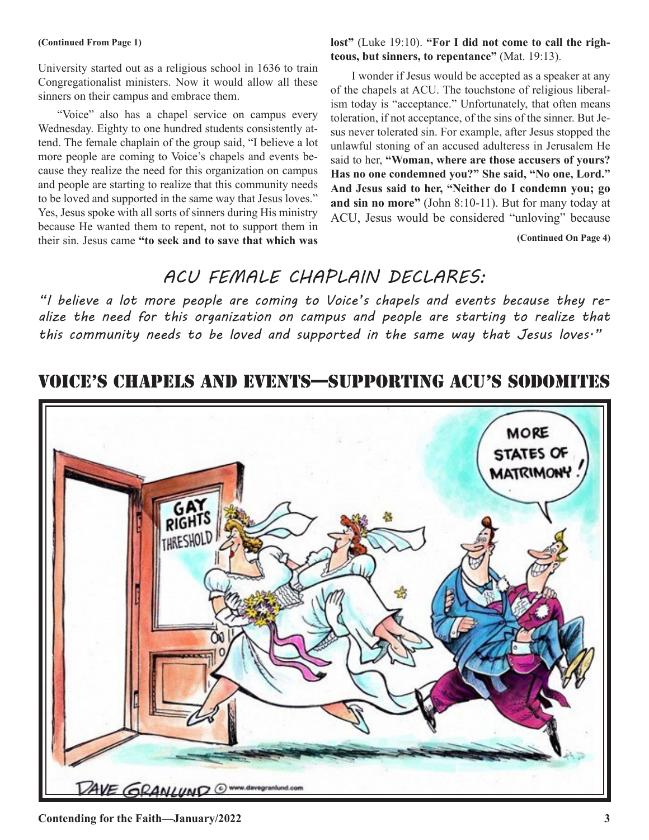#### **(Continued From Page 1)**

University started out as a religious school in 1636 to train Congregationalist ministers. Now it would allow all these sinners on their campus and embrace them.

"Voice" also has a chapel service on campus every Wednesday. Eighty to one hundred students consistently attend. The female chaplain of the group said, "I believe a lot more people are coming to Voice's chapels and events because they realize the need for this organization on campus and people are starting to realize that this community needs to be loved and supported in the same way that Jesus loves." Yes, Jesus spoke with all sorts of sinners during His ministry because He wanted them to repent, not to support them in their sin. Jesus came **"to seek and to save that which was** 

**lost"** (Luke 19:10). **"For I did not come to call the righteous, but sinners, to repentance"** (Mat. 19:13).

I wonder if Jesus would be accepted as a speaker at any of the chapels at ACU. The touchstone of religious liberalism today is "acceptance." Unfortunately, that often means toleration, if not acceptance, of the sins of the sinner. But Jesus never tolerated sin. For example, after Jesus stopped the unlawful stoning of an accused adulteress in Jerusalem He said to her, **"Woman, where are those accusers of yours? Has no one condemned you?" She said, "No one, Lord." And Jesus said to her, "Neither do I condemn you; go and sin no more"** (John 8:10-11). But for many today at ACU, Jesus would be considered "unloving" because

**(Continued On Page 4)**

# *ACU FEMALE CHAPLAIN DECLARES:*

*"I believe a lot more people are coming to Voice's chapels and events because they realize the need for this organization on campus and people are starting to realize that this community needs to be loved and supported in the same way that Jesus loves."*

# VOICE'S CHAPELS AND EVENTS—SUPPORTING ACU'S SODOMITES

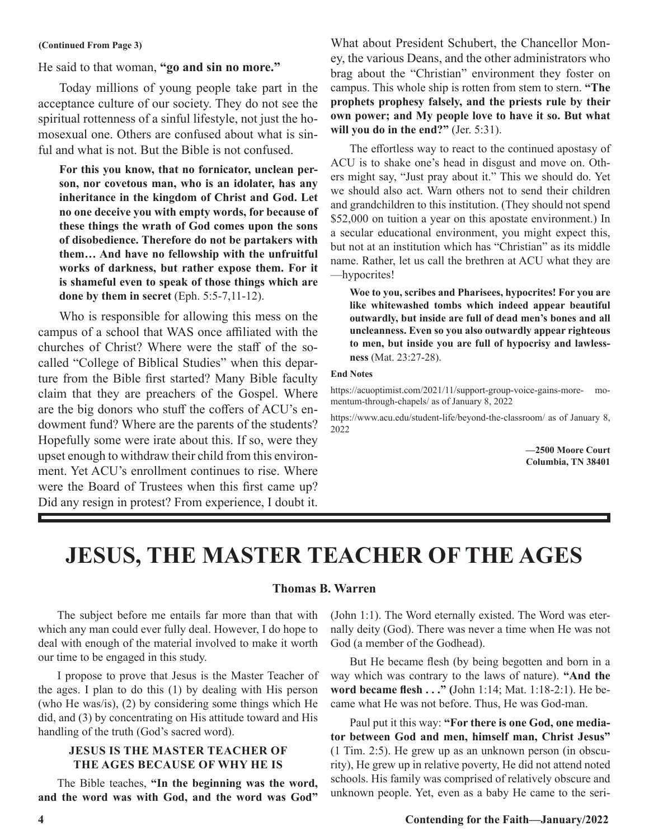#### **(Continued From Page 3)**

He said to that woman, **"go and sin no more."**

Today millions of young people take part in the acceptance culture of our society. They do not see the spiritual rottenness of a sinful lifestyle, not just the homosexual one. Others are confused about what is sinful and what is not. But the Bible is not confused.

**For this you know, that no fornicator, unclean person, nor covetous man, who is an idolater, has any inheritance in the kingdom of Christ and God. Let no one deceive you with empty words, for because of these things the wrath of God comes upon the sons of disobedience. Therefore do not be partakers with them… And have no fellowship with the unfruitful works of darkness, but rather expose them. For it is shameful even to speak of those things which are done by them in secret** (Eph. 5:5-7,11-12).

Who is responsible for allowing this mess on the campus of a school that WAS once affiliated with the churches of Christ? Where were the staff of the socalled "College of Biblical Studies" when this departure from the Bible first started? Many Bible faculty claim that they are preachers of the Gospel. Where are the big donors who stuff the coffers of ACU's endowment fund? Where are the parents of the students? Hopefully some were irate about this. If so, were they upset enough to withdraw their child from this environment. Yet ACU's enrollment continues to rise. Where were the Board of Trustees when this first came up? Did any resign in protest? From experience, I doubt it.

What about President Schubert, the Chancellor Money, the various Deans, and the other administrators who brag about the "Christian" environment they foster on campus. This whole ship is rotten from stem to stern. **"The prophets prophesy falsely, and the priests rule by their own power; and My people love to have it so. But what will you do in the end?"** (Jer. 5:31).

The effortless way to react to the continued apostasy of ACU is to shake one's head in disgust and move on. Others might say, "Just pray about it." This we should do. Yet we should also act. Warn others not to send their children and grandchildren to this institution. (They should not spend \$52,000 on tuition a year on this apostate environment.) In a secular educational environment, you might expect this, but not at an institution which has "Christian" as its middle name. Rather, let us call the brethren at ACU what they are —hypocrites!

**Woe to you, scribes and Pharisees, hypocrites! For you are like whitewashed tombs which indeed appear beautiful outwardly, but inside are full of dead men's bones and all uncleanness. Even so you also outwardly appear righteous to men, but inside you are full of hypocrisy and lawlessness** (Mat. 23:27-28).

#### **End Notes**

https://acuoptimist.com/2021/11/support-group-voice-gains-more- momentum-through-chapels/ as of January 8, 2022

https://www.acu.edu/student-life/beyond-the-classroom/ as of January 8, 2022

> **—2500 Moore Court Columbia, TN 38401**

# **JESUS, THE MASTER TEACHER OF THE AGES**

#### **Thomas B. Warren**

The subject before me entails far more than that with which any man could ever fully deal. However, I do hope to deal with enough of the material involved to make it worth our time to be engaged in this study.

I propose to prove that Jesus is the Master Teacher of the ages. I plan to do this (1) by dealing with His person (who He was/is), (2) by considering some things which He did, and (3) by concentrating on His attitude toward and His handling of the truth (God's sacred word).

### **JESUS IS THE MASTER TEACHER OF THE AGES BECAUSE OF WHY HE IS**

The Bible teaches, **"In the beginning was the word, and the word was with God, and the word was God"** (John 1:1). The Word eternally existed. The Word was eternally deity (God). There was never a time when He was not God (a member of the Godhead).

But He became flesh (by being begotten and born in a way which was contrary to the laws of nature). **"And the word became flesh . . ." (**John 1:14; Mat. 1:18-2:1). He became what He was not before. Thus, He was God-man.

Paul put it this way: **"For there is one God, one mediator between God and men, himself man, Christ Jesus"** (1 Tim. 2:5). He grew up as an unknown person (in obscurity), He grew up in relative poverty, He did not attend noted schools. His family was comprised of relatively obscure and unknown people. Yet, even as a baby He came to the seri-

#### **4 Contending for the Faith—January/2022**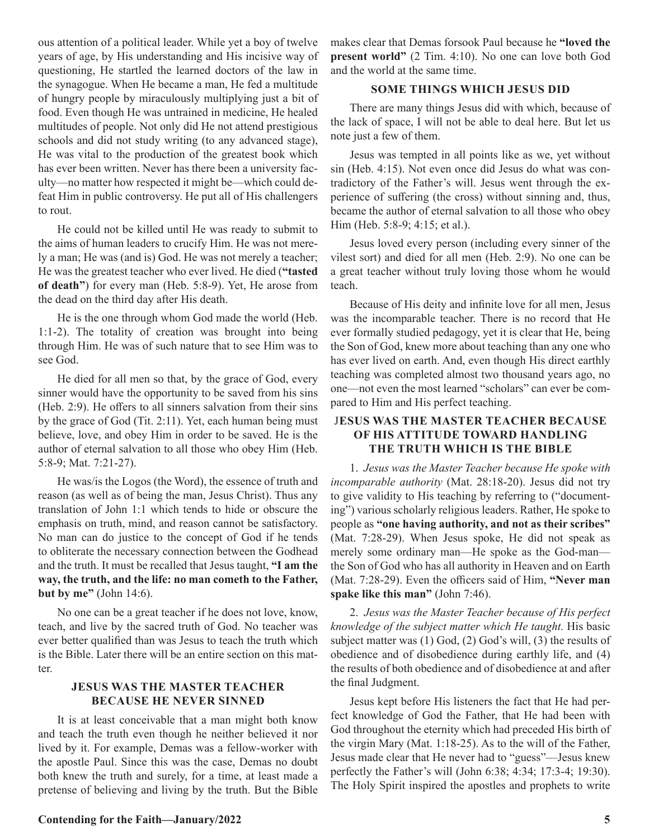ous attention of a political leader. While yet a boy of twelve years of age, by His understanding and His incisive way of questioning, He startled the learned doctors of the law in the synagogue. When He became a man, He fed a multitude of hungry people by miraculously multiplying just a bit of food. Even though He was untrained in medicine, He healed multitudes of people. Not only did He not attend prestigious schools and did not study writing (to any advanced stage), He was vital to the production of the greatest book which has ever been written. Never has there been a university faculty—no matter how respected it might be—which could defeat Him in public controversy. He put all of His challengers to rout.

He could not be killed until He was ready to submit to the aims of human leaders to crucify Him. He was not merely a man; He was (and is) God. He was not merely a teacher; He was the greatest teacher who ever lived. He died (**"tasted of death"**) for every man (Heb. 5:8-9). Yet, He arose from the dead on the third day after His death.

He is the one through whom God made the world (Heb. 1:1-2). The totality of creation was brought into being through Him. He was of such nature that to see Him was to see God.

He died for all men so that, by the grace of God, every sinner would have the opportunity to be saved from his sins (Heb. 2:9). He offers to all sinners salvation from their sins by the grace of God (Tit. 2:11). Yet, each human being must believe, love, and obey Him in order to be saved. He is the author of eternal salvation to all those who obey Him (Heb. 5:8-9; Mat. 7:21-27).

He was/is the Logos (the Word), the essence of truth and reason (as well as of being the man, Jesus Christ). Thus any translation of John 1:1 which tends to hide or obscure the emphasis on truth, mind, and reason cannot be satisfactory. No man can do justice to the concept of God if he tends to obliterate the necessary connection between the Godhead and the truth. It must be recalled that Jesus taught, **"I am the way, the truth, and the life: no man cometh to the Father, but by me"** (John 14:6).

No one can be a great teacher if he does not love, know, teach, and live by the sacred truth of God. No teacher was ever better qualified than was Jesus to teach the truth which is the Bible. Later there will be an entire section on this matter.

### **JESUS WAS THE MASTER TEACHER BECAUSE HE NEVER SINNED**

It is at least conceivable that a man might both know and teach the truth even though he neither believed it nor lived by it. For example, Demas was a fellow-worker with the apostle Paul. Since this was the case, Demas no doubt both knew the truth and surely, for a time, at least made a pretense of believing and living by the truth. But the Bible makes clear that Demas forsook Paul because he **"loved the present world"** (2 Tim. 4:10). No one can love both God and the world at the same time.

### **SOME THINGS WHICH JESUS DID**

There are many things Jesus did with which, because of the lack of space, I will not be able to deal here. But let us note just a few of them.

Jesus was tempted in all points like as we, yet without sin (Heb. 4:15). Not even once did Jesus do what was contradictory of the Father's will. Jesus went through the experience of suffering (the cross) without sinning and, thus, became the author of eternal salvation to all those who obey Him (Heb. 5:8-9; 4:15; et al.).

Jesus loved every person (including every sinner of the vilest sort) and died for all men (Heb. 2:9). No one can be a great teacher without truly loving those whom he would teach.

Because of His deity and infinite love for all men, Jesus was the incomparable teacher. There is no record that He ever formally studied pedagogy, yet it is clear that He, being the Son of God, knew more about teaching than any one who has ever lived on earth. And, even though His direct earthly teaching was completed almost two thousand years ago, no one—not even the most learned "scholars" can ever be compared to Him and His perfect teaching.

## J**ESUS WAS THE MASTER TEACHER BECAUSE OF HIS ATTITUDE TOWARD HANDLING THE TRUTH WHICH IS THE BIBLE**

1. *Jesus was the Master Teacher because He spoke with incomparable authority* (Mat. 28:18-20). Jesus did not try to give validity to His teaching by referring to ("documenting") various scholarly religious leaders. Rather, He spoke to people as **"one having authority, and not as their scribes"** (Mat. 7:28-29). When Jesus spoke, He did not speak as merely some ordinary man—He spoke as the God-man the Son of God who has all authority in Heaven and on Earth (Mat. 7:28-29). Even the officers said of Him, **"Never man spake like this man"** (John 7:46).

2. *Jesus was the Master Teacher because of His perfect knowledge of the subject matter which He taught.* His basic subject matter was (1) God, (2) God's will, (3) the results of obedience and of disobedience during earthly life, and (4) the results of both obedience and of disobedience at and after the final Judgment.

Jesus kept before His listeners the fact that He had perfect knowledge of God the Father, that He had been with God throughout the eternity which had preceded His birth of the virgin Mary (Mat. 1:18-25). As to the will of the Father, Jesus made clear that He never had to "guess"—Jesus knew perfectly the Father's will (John 6:38; 4:34; 17:3-4; 19:30). The Holy Spirit inspired the apostles and prophets to write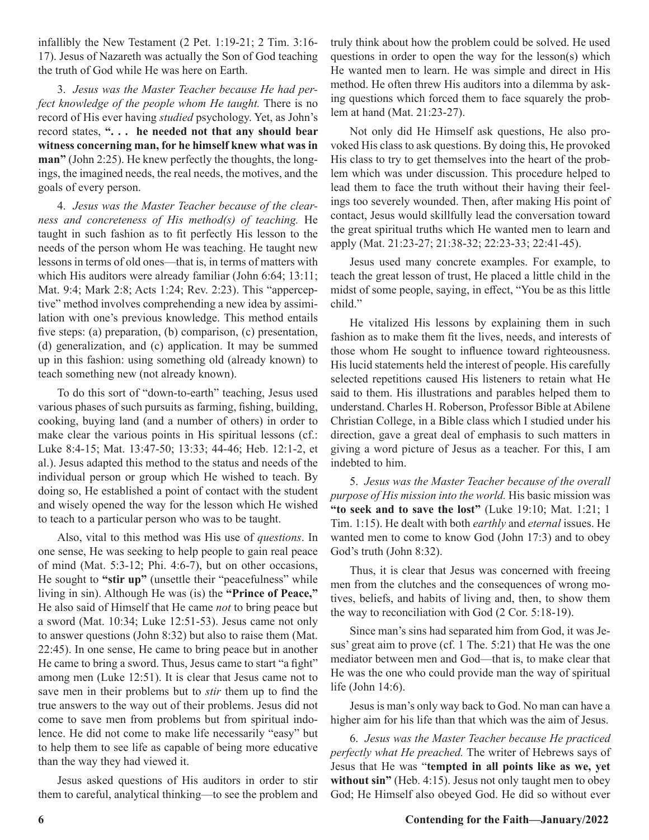infallibly the New Testament (2 Pet. 1:19-21; 2 Tim. 3:16- 17). Jesus of Nazareth was actually the Son of God teaching the truth of God while He was here on Earth.

3. *Jesus was the Master Teacher because He had perfect knowledge of the people whom He taught.* There is no record of His ever having *studied* psychology. Yet, as John's record states, **". . . he needed not that any should bear witness concerning man, for he himself knew what was in man"** (John 2:25). He knew perfectly the thoughts, the longings, the imagined needs, the real needs, the motives, and the goals of every person.

4. *Jesus was the Master Teacher because of the clearness and concreteness of His method(s) of teaching.* He taught in such fashion as to fit perfectly His lesson to the needs of the person whom He was teaching. He taught new lessons in terms of old ones—that is, in terms of matters with which His auditors were already familiar (John 6:64; 13:11; Mat. 9:4; Mark 2:8; Acts 1:24; Rev. 2:23). This "apperceptive" method involves comprehending a new idea by assimilation with one's previous knowledge. This method entails five steps: (a) preparation, (b) comparison, (c) presentation, (d) generalization, and (c) application. It may be summed up in this fashion: using something old (already known) to teach something new (not already known).

To do this sort of "down-to-earth" teaching, Jesus used various phases of such pursuits as farming, fishing, building, cooking, buying land (and a number of others) in order to make clear the various points in His spiritual lessons (cf.: Luke 8:4-15; Mat. 13:47-50; 13:33; 44-46; Heb. 12:1-2, et al.). Jesus adapted this method to the status and needs of the individual person or group which He wished to teach. By doing so, He established a point of contact with the student and wisely opened the way for the lesson which He wished to teach to a particular person who was to be taught.

Also, vital to this method was His use of *questions*. In one sense, He was seeking to help people to gain real peace of mind (Mat. 5:3-12; Phi. 4:6-7), but on other occasions, He sought to **"stir up"** (unsettle their "peacefulness" while living in sin). Although He was (is) the **"Prince of Peace,"** He also said of Himself that He came *not* to bring peace but a sword (Mat. 10:34; Luke 12:51-53). Jesus came not only to answer questions (John 8:32) but also to raise them (Mat. 22:45). In one sense, He came to bring peace but in another He came to bring a sword. Thus, Jesus came to start "a fight" among men (Luke 12:51). It is clear that Jesus came not to save men in their problems but to *stir* them up to find the true answers to the way out of their problems. Jesus did not come to save men from problems but from spiritual indolence. He did not come to make life necessarily "easy" but to help them to see life as capable of being more educative than the way they had viewed it.

Jesus asked questions of His auditors in order to stir them to careful, analytical thinking—to see the problem and truly think about how the problem could be solved. He used questions in order to open the way for the lesson(s) which He wanted men to learn. He was simple and direct in His method. He often threw His auditors into a dilemma by asking questions which forced them to face squarely the problem at hand (Mat. 21:23-27).

Not only did He Himself ask questions, He also provoked His class to ask questions. By doing this, He provoked His class to try to get themselves into the heart of the problem which was under discussion. This procedure helped to lead them to face the truth without their having their feelings too severely wounded. Then, after making His point of contact, Jesus would skillfully lead the conversation toward the great spiritual truths which He wanted men to learn and apply (Mat. 21:23-27; 21:38-32; 22:23-33; 22:41-45).

Jesus used many concrete examples. For example, to teach the great lesson of trust, He placed a little child in the midst of some people, saying, in effect, "You be as this little child."

He vitalized His lessons by explaining them in such fashion as to make them fit the lives, needs, and interests of those whom He sought to influence toward righteousness. His lucid statements held the interest of people. His carefully selected repetitions caused His listeners to retain what He said to them. His illustrations and parables helped them to understand. Charles H. Roberson, Professor Bible at Abilene Christian College, in a Bible class which I studied under his direction, gave a great deal of emphasis to such matters in giving a word picture of Jesus as a teacher. For this, I am indebted to him.

5. *Jesus was the Master Teacher because of the overall purpose of His mission into the world.* His basic mission was **"to seek and to save the lost"** (Luke 19:10; Mat. 1:21; 1 Tim. 1:15). He dealt with both *earthly* and *eternal* issues. He wanted men to come to know God (John 17:3) and to obey God's truth (John 8:32).

Thus, it is clear that Jesus was concerned with freeing men from the clutches and the consequences of wrong motives, beliefs, and habits of living and, then, to show them the way to reconciliation with God (2 Cor. 5:18-19).

Since man's sins had separated him from God, it was Jesus' great aim to prove (cf. 1 The. 5:21) that He was the one mediator between men and God—that is, to make clear that He was the one who could provide man the way of spiritual life (John 14:6).

Jesus is man's only way back to God. No man can have a higher aim for his life than that which was the aim of Jesus.

6. *Jesus was the Master Teacher because He practiced perfectly what He preached.* The writer of Hebrews says of Jesus that He was "**tempted in all points like as we, yet without sin"** (Heb. 4:15). Jesus not only taught men to obey God; He Himself also obeyed God. He did so without ever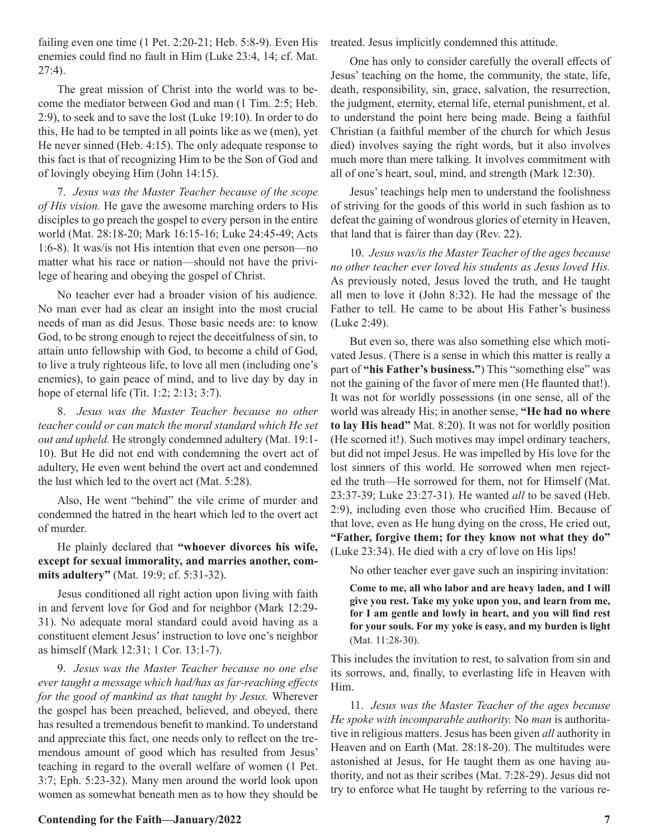failing even one time (1 Pet. 2:20-21; Heb. 5:8-9). Even His enemies could find no fault in Him (Luke 23:4, 14; cf. Mat. 27:4).

The great mission of Christ into the world was to become the mediator between God and man (1 Tim. 2:5; Heb. 2:9), to seek and to save the lost (Luke 19:10). In order to do this, He had to be tempted in all points like as we (men), yet He never sinned (Heb. 4:15). The only adequate response to this fact is that of recognizing Him to be the Son of God and of lovingly obeying Him (John 14:15).

7. *Jesus was the Master Teacher because of the scope of His vision.* He gave the awesome marching orders to His disciples to go preach the gospel to every person in the entire world (Mat. 28:18-20; Mark 16:15-16; Luke 24:45-49; Acts 1:6-8). It was/is not His intention that even one person—no matter what his race or nation—should not have the privilege of hearing and obeying the gospel of Christ.

No teacher ever had a broader vision of his audience. No man ever had as clear an insight into the most crucial needs of man as did Jesus. Those basic needs are: to know God, to be strong enough to reject the deceitfulness of sin, to attain unto fellowship with God, to become a child of God, to live a truly righteous life, to love all men (including one's enemies), to gain peace of mind, and to live day by day in hope of eternal life (Tit. 1:2; 2:13; 3:7).

8. *Jesus was the Master Teacher because no other teacher could or can match the moral standard which He set out and upheld.* He strongly condemned adultery (Mat. 19:1- 10). But He did not end with condemning the overt act of adultery, He even went behind the overt act and condemned the lust which led to the overt act (Mat. 5:28).

Also, He went "behind" the vile crime of murder and condemned the hatred in the heart which led to the overt act of murder.

He plainly declared that **"whoever divorces his wife, except for sexual immorality, and marries another, commits adultery"** (Mat. 19:9; cf. 5:31-32).

Jesus conditioned all right action upon living with faith in and fervent love for God and for neighbor (Mark 12:29- 31). No adequate moral standard could avoid having as a constituent element Jesus' instruction to love one's neighbor as himself (Mark 12:31; 1 Cor. 13:1-7).

9. *Jesus was the Master Teacher because no one else ever taught a message which had/has as far-reaching effects for the good of mankind as that taught by Jesus.* Wherever the gospel has been preached, believed, and obeyed, there has resulted a tremendous benefit to mankind. To understand and appreciate this fact, one needs only to reflect on the tremendous amount of good which has resulted from Jesus' teaching in regard to the overall welfare of women (1 Pet. 3:7; Eph. 5:23-32). Many men around the world look upon women as somewhat beneath men as to how they should be

**Contending for the Faith—January/2022** 7

treated. Jesus implicitly condemned this attitude.

One has only to consider carefully the overall effects of Jesus' teaching on the home, the community, the state, life, death, responsibility, sin, grace, salvation, the resurrection, the judgment, eternity, eternal life, eternal punishment, et al. to understand the point here being made. Being a faithful Christian (a faithful member of the church for which Jesus died) involves saying the right words, but it also involves much more than mere talking. It involves commitment with all of one's heart, soul, mind, and strength (Mark 12:30).

Jesus' teachings help men to understand the foolishness of striving for the goods of this world in such fashion as to defeat the gaining of wondrous glories of eternity in Heaven, that land that is fairer than day (Rev. 22).

10. *Jesus was/is the Master Teacher of the ages because no other teacher ever loved his students as Jesus loved His.* As previously noted, Jesus loved the truth, and He taught all men to love it (John 8:32). He had the message of the Father to tell. He came to be about His Father's business (Luke 2:49).

But even so, there was also something else which motivated Jesus. (There is a sense in which this matter is really a part of **"his Father's business."**) This "something else" was not the gaining of the favor of mere men (He flaunted that!). It was not for worldly possessions (in one sense, all of the world was already His; in another sense, **"He had no where to lay His head"** Mat. 8:20). It was not for worldly position (He scorned it!). Such motives may impel ordinary teachers, but did not impel Jesus. He was impelled by His love for the lost sinners of this world. He sorrowed when men rejected the truth—He sorrowed for them, not for Himself (Mat. 23:37-39; Luke 23:27-31). He wanted *all* to be saved (Heb. 2:9), including even those who crucified Him. Because of that love, even as He hung dying on the cross, He cried out, **"Father, forgive them; for they know not what they do"** (Luke 23:34). He died with a cry of love on His lips!

No other teacher ever gave such an inspiring invitation:

**Come to me, all who labor and are heavy laden, and I will give you rest. Take my yoke upon you, and learn from me, for I am gentle and lowly in heart, and you will find rest for your souls. For my yoke is easy, and my burden is light** (Mat. 11:28-30).

This includes the invitation to rest, to salvation from sin and its sorrows, and, finally, to everlasting life in Heaven with Him.

11. *Jesus was the Master Teacher of the ages because He spoke with incomparable authority.* No *man* is authoritative in religious matters. Jesus has been given *all* authority in Heaven and on Earth (Mat. 28:18-20). The multitudes were astonished at Jesus, for He taught them as one having authority, and not as their scribes (Mat. 7:28-29). Jesus did not try to enforce what He taught by referring to the various re